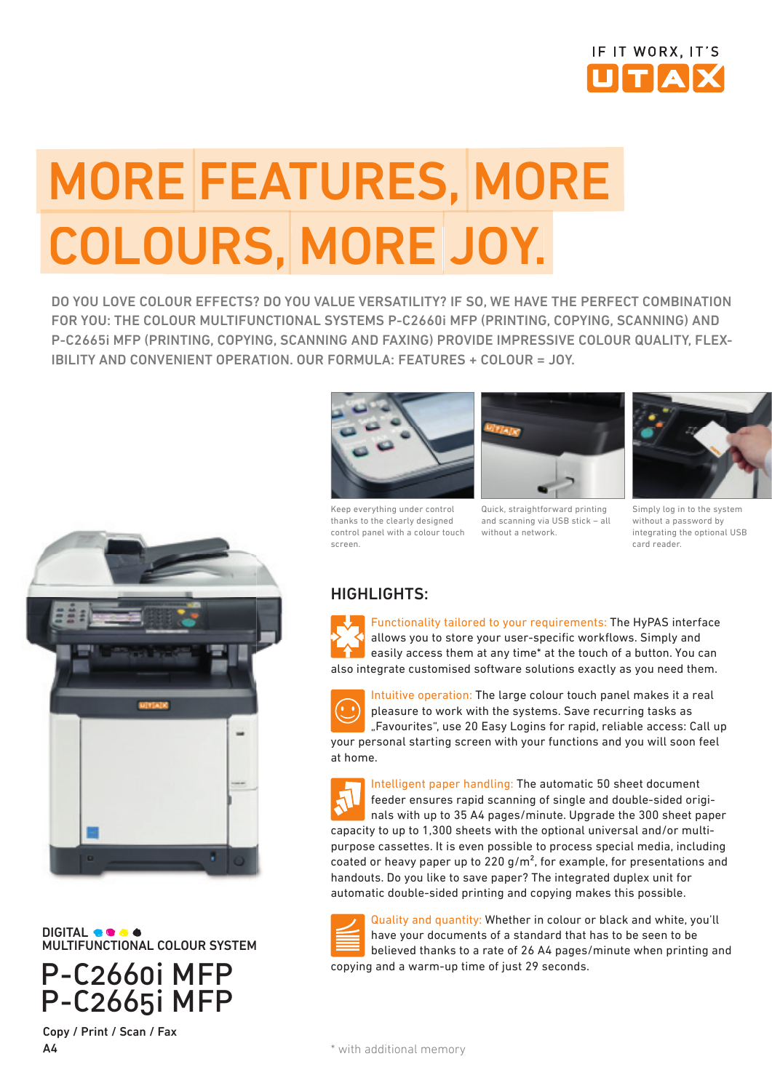

# MORE FEATURES, MORE COLOURS, MORE JOY.

DO YOU LOVE COLOUR EFFECTS? DO YOU VALUE VERSATILITY? IF SO, WE HAVE THE PERFECT COMBINATION FOR YOU: THE COLOUR MULTIFUNCTIONAL SYSTEMS P-C2660i MFP (PRINTING, COPYING, SCANNING) AND P-C2665i MFP (PRINTING, COPYING, SCANNING AND FAXING) PROVIDE IMPRESSIVE COLOUR QUALITY, FLEX-IBILITY AND CONVENIENT OPERATION. OUR FORMULA: FEATURES + COLOUR = JOY.



DIGITAL MULTIFUNCTIONAL COLOUR SYSTEM

P-C2660i MFP P-C2665i MFP Copy / Print / Scan / Fax

A4



Keep everything under control thanks to the clearly designed control panel with a colour touch screen.



Quick, straightforward printing and scanning via USB stick – all without a network.



Simply log in to the system without a password by integrating the optional USB card reader.

### HIGHLIGHTS:

Functionality tailored to your requirements: The HyPAS interface allows you to store your user-specific workflows. Simply and easily access them at any time\* at the touch of a button. You can also integrate customised software solutions exactly as you need them.



Intuitive operation: The large colour touch panel makes it a real pleasure to work with the systems. Save recurring tasks as "Favourites", use 20 Easy Logins for rapid, reliable access: Call up your personal starting screen with your functions and you will soon feel at home.

Intelligent paper handling: The automatic 50 sheet document feeder ensures rapid scanning of single and double-sided originals with up to 35 A4 pages/minute. Upgrade the 300 sheet paper capacity to up to 1,300 sheets with the optional universal and/or multipurpose cassettes. It is even possible to process special media, including coated or heavy paper up to 220  $q/m^2$ , for example, for presentations and handouts. Do you like to save paper? The integrated duplex unit for automatic double-sided printing and copying makes this possible.



Quality and quantity: Whether in colour or black and white, you'll have your documents of a standard that has to be seen to be believed thanks to a rate of 26 A4 pages/minute when printing and copying and a warm-up time of just 29 seconds.

\* with additional memory